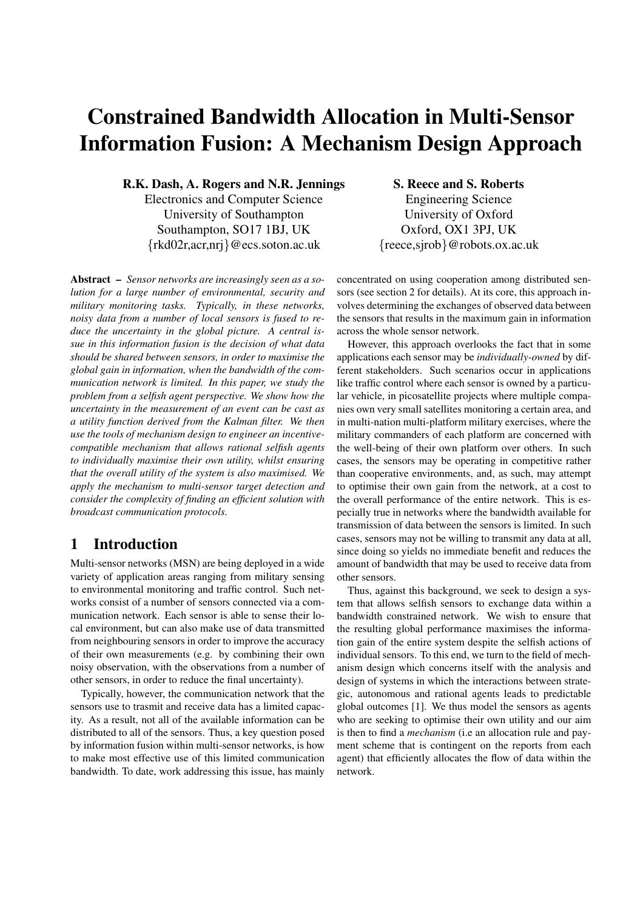# **Constrained Bandwidth Allocation in Multi-Sensor Information Fusion: A Mechanism Design Approach**

**R.K. Dash, A. Rogers and N.R. Jennings** Electronics and Computer Science University of Southampton Southampton, SO17 1BJ, UK {rkd02r,acr,nrj}@ecs.soton.ac.uk

**Abstract –** *Sensor networks are increasingly seen as a solution for a large number of environmental, security and military monitoring tasks. Typically, in these networks, noisy data from a number of local sensors is fused to reduce the uncertainty in the global picture. A central issue in this information fusion is the decision of what data should be shared between sensors, in order to maximise the global gain in information, when the bandwidth of the communication network is limited. In this paper, we study the problem from a selfish agent perspective. We show how the uncertainty in the measurement of an event can be cast as a utility function derived from the Kalman filter. We then use the tools of mechanism design to engineer an incentivecompatible mechanism that allows rational selfish agents to individually maximise their own utility, whilst ensuring that the overall utility of the system is also maximised. We apply the mechanism to multi-sensor target detection and consider the complexity of finding an efficient solution with broadcast communication protocols.*

# **1 Introduction**

Multi-sensor networks (MSN) are being deployed in a wide variety of application areas ranging from military sensing to environmental monitoring and traffic control. Such networks consist of a number of sensors connected via a communication network. Each sensor is able to sense their local environment, but can also make use of data transmitted from neighbouring sensors in order to improve the accuracy of their own measurements (e.g. by combining their own noisy observation, with the observations from a number of other sensors, in order to reduce the final uncertainty).

Typically, however, the communication network that the sensors use to trasmit and receive data has a limited capacity. As a result, not all of the available information can be distributed to all of the sensors. Thus, a key question posed by information fusion within multi-sensor networks, is how to make most effective use of this limited communication bandwidth. To date, work addressing this issue, has mainly

**S. Reece and S. Roberts** Engineering Science University of Oxford Oxford, OX1 3PJ, UK {reece,sjrob}@robots.ox.ac.uk

concentrated on using cooperation among distributed sensors (see section 2 for details). At its core, this approach involves determining the exchanges of observed data between the sensors that results in the maximum gain in information across the whole sensor network.

However, this approach overlooks the fact that in some applications each sensor may be *individually-owned* by different stakeholders. Such scenarios occur in applications like traffic control where each sensor is owned by a particular vehicle, in picosatellite projects where multiple companies own very small satellites monitoring a certain area, and in multi-nation multi-platform military exercises, where the military commanders of each platform are concerned with the well-being of their own platform over others. In such cases, the sensors may be operating in competitive rather than cooperative environments, and, as such, may attempt to optimise their own gain from the network, at a cost to the overall performance of the entire network. This is especially true in networks where the bandwidth available for transmission of data between the sensors is limited. In such cases, sensors may not be willing to transmit any data at all, since doing so yields no immediate benefit and reduces the amount of bandwidth that may be used to receive data from other sensors.

Thus, against this background, we seek to design a system that allows selfish sensors to exchange data within a bandwidth constrained network. We wish to ensure that the resulting global performance maximises the information gain of the entire system despite the selfish actions of individual sensors. To this end, we turn to the field of mechanism design which concerns itself with the analysis and design of systems in which the interactions between strategic, autonomous and rational agents leads to predictable global outcomes [1]. We thus model the sensors as agents who are seeking to optimise their own utility and our aim is then to find a *mechanism* (i.e an allocation rule and payment scheme that is contingent on the reports from each agent) that efficiently allocates the flow of data within the network.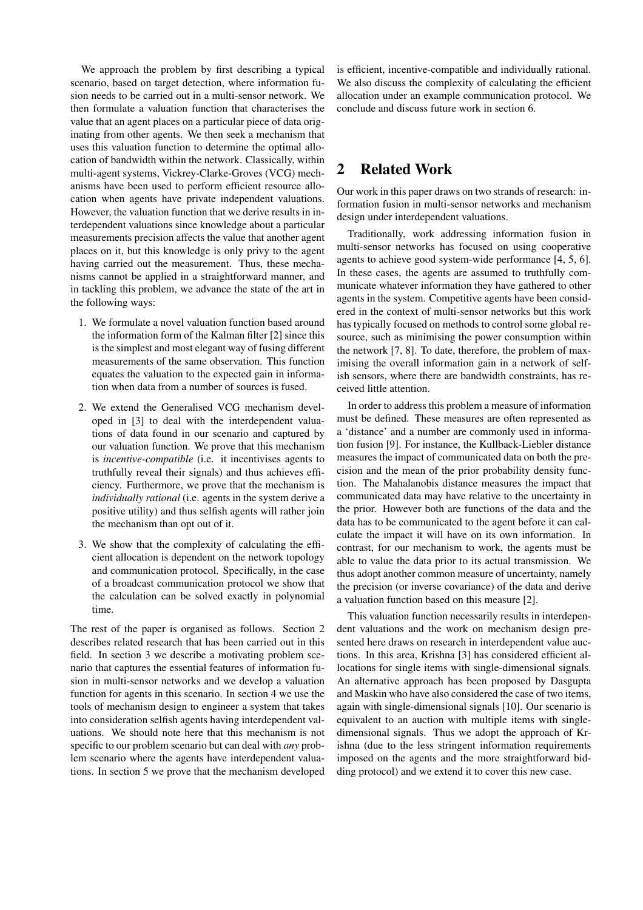We approach the problem by first describing a typical scenario, based on target detection, where information fusion needs to be carried out in a multi-sensor network. We then formulate a valuation function that characterises the value that an agent places on a particular piece of data originating from other agents. We then seek a mechanism that uses this valuation function to determine the optimal allocation of bandwidth within the network. Classically, within multi-agent systems, Vickrey-Clarke-Groves (VCG) mechanisms have been used to perform efficient resource allocation when agents have private independent valuations. However, the valuation function that we derive results in interdependent valuations since knowledge about a particular measurements precision affects the value that another agent places on it, but this knowledge is only privy to the agent having carried out the measurement. Thus, these mechanisms cannot be applied in a straightforward manner, and in tackling this problem, we advance the state of the art in the following ways:

- 1. We formulate a novel valuation function based around the information form of the Kalman filter [2] since this is the simplest and most elegant way of fusing different measurements of the same observation. This function equates the valuation to the expected gain in information when data from a number of sources is fused.
- 2. We extend the Generalised VCG mechanism developed in [3] to deal with the interdependent valuations of data found in our scenario and captured by our valuation function. We prove that this mechanism is *incentive-compatible* (i.e. it incentivises agents to truthfully reveal their signals) and thus achieves efficiency. Furthermore, we prove that the mechanism is *individually rational* (i.e. agents in the system derive a positive utility) and thus selfish agents will rather join the mechanism than opt out of it.
- 3. We show that the complexity of calculating the efficient allocation is dependent on the network topology and communication protocol. Specifically, in the case of a broadcast communication protocol we show that the calculation can be solved exactly in polynomial time.

The rest of the paper is organised as follows. Section 2 describes related research that has been carried out in this field. In section 3 we describe a motivating problem scenario that captures the essential features of information fusion in multi-sensor networks and we develop a valuation function for agents in this scenario. In section 4 we use the tools of mechanism design to engineer a system that takes into consideration selfish agents having interdependent valuations. We should note here that this mechanism is not specific to our problem scenario but can deal with *any* problem scenario where the agents have interdependent valuations. In section 5 we prove that the mechanism developed is efficient, incentive-compatible and individually rational. We also discuss the complexity of calculating the efficient allocation under an example communication protocol. We conclude and discuss future work in section 6.

# **2 Related Work**

Our work in this paper draws on two strands of research: information fusion in multi-sensor networks and mechanism design under interdependent valuations.

Traditionally, work addressing information fusion in multi-sensor networks has focused on using cooperative agents to achieve good system-wide performance [4, 5, 6]. In these cases, the agents are assumed to truthfully communicate whatever information they have gathered to other agents in the system. Competitive agents have been considered in the context of multi-sensor networks but this work has typically focused on methods to control some global resource, such as minimising the power consumption within the network [7, 8]. To date, therefore, the problem of maximising the overall information gain in a network of selfish sensors, where there are bandwidth constraints, has received little attention.

In order to address this problem a measure of information must be defined. These measures are often represented as a 'distance' and a number are commonly used in information fusion [9]. For instance, the Kullback-Liebler distance measures the impact of communicated data on both the precision and the mean of the prior probability density function. The Mahalanobis distance measures the impact that communicated data may have relative to the uncertainty in the prior. However both are functions of the data and the data has to be communicated to the agent before it can calculate the impact it will have on its own information. In contrast, for our mechanism to work, the agents must be able to value the data prior to its actual transmission. We thus adopt another common measure of uncertainty, namely the precision (or inverse covariance) of the data and derive a valuation function based on this measure [2].

This valuation function necessarily results in interdependent valuations and the work on mechanism design presented here draws on research in interdependent value auctions. In this area, Krishna [3] has considered efficient allocations for single items with single-dimensional signals. An alternative approach has been proposed by Dasgupta and Maskin who have also considered the case of two items, again with single-dimensional signals [10]. Our scenario is equivalent to an auction with multiple items with singledimensional signals. Thus we adopt the approach of Krishna (due to the less stringent information requirements imposed on the agents and the more straightforward bidding protocol) and we extend it to cover this new case.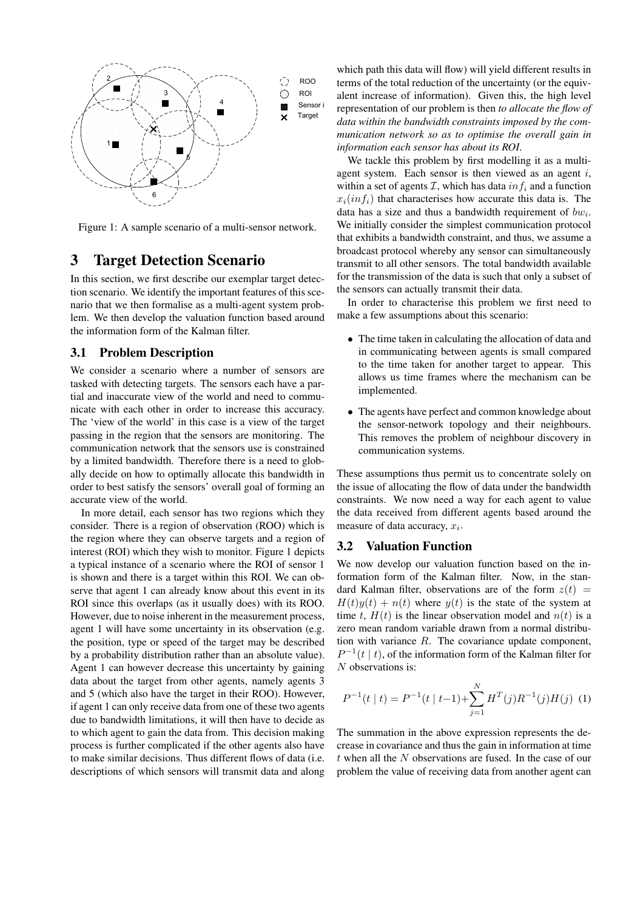

Figure 1: A sample scenario of a multi-sensor network.

## **3 Target Detection Scenario**

In this section, we first describe our exemplar target detection scenario. We identify the important features of this scenario that we then formalise as a multi-agent system problem. We then develop the valuation function based around the information form of the Kalman filter.

### **3.1 Problem Description**

We consider a scenario where a number of sensors are tasked with detecting targets. The sensors each have a partial and inaccurate view of the world and need to communicate with each other in order to increase this accuracy. The 'view of the world' in this case is a view of the target passing in the region that the sensors are monitoring. The communication network that the sensors use is constrained by a limited bandwidth. Therefore there is a need to globally decide on how to optimally allocate this bandwidth in order to best satisfy the sensors' overall goal of forming an accurate view of the world.

In more detail, each sensor has two regions which they consider. There is a region of observation (ROO) which is the region where they can observe targets and a region of interest (ROI) which they wish to monitor. Figure 1 depicts a typical instance of a scenario where the ROI of sensor 1 is shown and there is a target within this ROI. We can observe that agent 1 can already know about this event in its ROI since this overlaps (as it usually does) with its ROO. However, due to noise inherent in the measurement process, agent 1 will have some uncertainty in its observation (e.g. the position, type or speed of the target may be described by a probability distribution rather than an absolute value). Agent 1 can however decrease this uncertainty by gaining data about the target from other agents, namely agents 3 and 5 (which also have the target in their ROO). However, if agent 1 can only receive data from one of these two agents due to bandwidth limitations, it will then have to decide as to which agent to gain the data from. This decision making process is further complicated if the other agents also have to make similar decisions. Thus different flows of data (i.e. descriptions of which sensors will transmit data and along which path this data will flow) will yield different results in terms of the total reduction of the uncertainty (or the equivalent increase of information). Given this, the high level representation of our problem is then *to allocate the flow of data within the bandwidth constraints imposed by the communication network so as to optimise the overall gain in information each sensor has about its ROI*.

We tackle this problem by first modelling it as a multiagent system. Each sensor is then viewed as an agent  $i$ , within a set of agents  $\mathcal{I}$ , which has data  $\inf_i$  and a function  $x_i(inf_i)$  that characterises how accurate this data is. The data has a size and thus a bandwidth requirement of  $bw_i$ . We initially consider the simplest communication protocol that exhibits a bandwidth constraint, and thus, we assume a broadcast protocol whereby any sensor can simultaneously transmit to all other sensors. The total bandwidth available for the transmission of the data is such that only a subset of the sensors can actually transmit their data.

In order to characterise this problem we first need to make a few assumptions about this scenario:

- The time taken in calculating the allocation of data and in communicating between agents is small compared to the time taken for another target to appear. This allows us time frames where the mechanism can be implemented.
- The agents have perfect and common knowledge about the sensor-network topology and their neighbours. This removes the problem of neighbour discovery in communication systems.

These assumptions thus permit us to concentrate solely on the issue of allocating the flow of data under the bandwidth constraints. We now need a way for each agent to value the data received from different agents based around the measure of data accuracy,  $x_i$ .

#### **3.2 Valuation Function**

We now develop our valuation function based on the information form of the Kalman filter. Now, in the standard Kalman filter, observations are of the form  $z(t)$  =  $H(t)y(t) + n(t)$  where  $y(t)$  is the state of the system at time t,  $H(t)$  is the linear observation model and  $n(t)$  is a zero mean random variable drawn from a normal distribution with variance  $R$ . The covariance update component,  $P^{-1}(t | t)$ , of the information form of the Kalman filter for N observations is:

$$
P^{-1}(t \mid t) = P^{-1}(t \mid t-1) + \sum_{j=1}^{N} H^{T}(j)R^{-1}(j)H(j) \tag{1}
$$

The summation in the above expression represents the decrease in covariance and thus the gain in information at time  $t$  when all the  $N$  observations are fused. In the case of our problem the value of receiving data from another agent can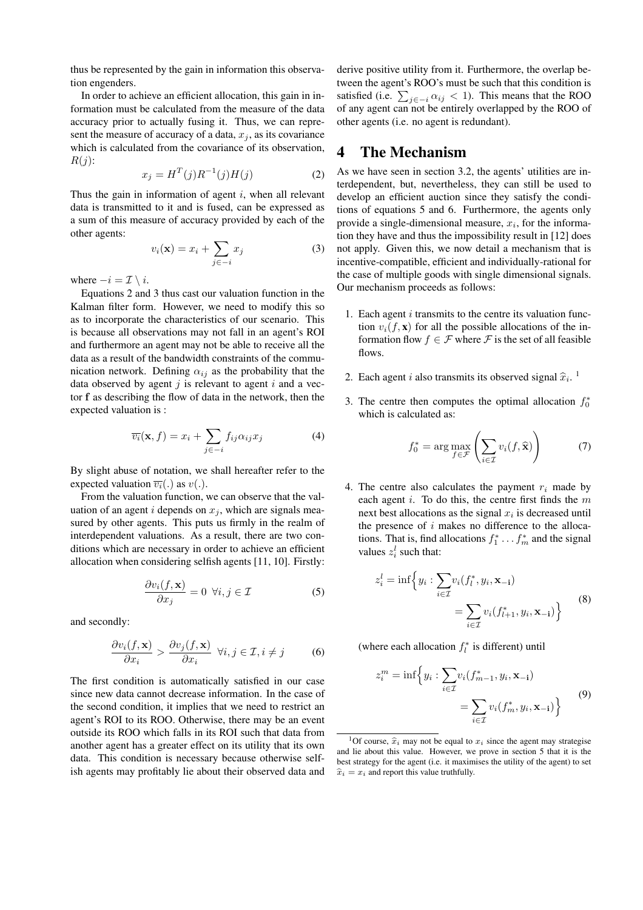thus be represented by the gain in information this observation engenders.

In order to achieve an efficient allocation, this gain in information must be calculated from the measure of the data accuracy prior to actually fusing it. Thus, we can represent the measure of accuracy of a data,  $x_j$ , as its covariance which is calculated from the covariance of its observation,  $R(i)$ :

$$
x_j = H^T(j)R^{-1}(j)H(j)
$$
 (2)

Thus the gain in information of agent  $i$ , when all relevant data is transmitted to it and is fused, can be expressed as a sum of this measure of accuracy provided by each of the other agents:

$$
v_i(\mathbf{x}) = x_i + \sum_{j \in -i} x_j \tag{3}
$$

where  $-i = \mathcal{I} \setminus i$ .

Equations 2 and 3 thus cast our valuation function in the Kalman filter form. However, we need to modify this so as to incorporate the characteristics of our scenario. This is because all observations may not fall in an agent's ROI and furthermore an agent may not be able to receive all the data as a result of the bandwidth constraints of the communication network. Defining  $\alpha_{ij}$  as the probability that the data observed by agent  $j$  is relevant to agent  $i$  and a vector **f** as describing the flow of data in the network, then the expected valuation is :

$$
\overline{v_i}(\mathbf{x}, f) = x_i + \sum_{j \in -i} f_{ij} \alpha_{ij} x_j \tag{4}
$$

By slight abuse of notation, we shall hereafter refer to the expected valuation  $\overline{v_i}$ (.) as  $v(.)$ .

From the valuation function, we can observe that the valuation of an agent i depends on  $x_j$ , which are signals measured by other agents. This puts us firmly in the realm of interdependent valuations. As a result, there are two conditions which are necessary in order to achieve an efficient allocation when considering selfish agents [11, 10]. Firstly:

$$
\frac{\partial v_i(f, \mathbf{x})}{\partial x_j} = 0 \ \forall i, j \in \mathcal{I}
$$
 (5)

and secondly:

$$
\frac{\partial v_i(f, \mathbf{x})}{\partial x_i} > \frac{\partial v_j(f, \mathbf{x})}{\partial x_i} \quad \forall i, j \in \mathcal{I}, i \neq j \tag{6}
$$

The first condition is automatically satisfied in our case since new data cannot decrease information. In the case of the second condition, it implies that we need to restrict an agent's ROI to its ROO. Otherwise, there may be an event outside its ROO which falls in its ROI such that data from another agent has a greater effect on its utility that its own data. This condition is necessary because otherwise selfish agents may profitably lie about their observed data and derive positive utility from it. Furthermore, the overlap between the agent's ROO's must be such that this condition is satisfied (i.e.  $\sum_{j \in -i} \alpha_{ij} < 1$ ). This means that the ROO of any agent can not be entirely overlanned by the ROO of of any agent can not be entirely overlapped by the ROO of other agents (i.e. no agent is redundant).

## **4 The Mechanism**

As we have seen in section 3.2, the agents' utilities are interdependent, but, nevertheless, they can still be used to develop an efficient auction since they satisfy the conditions of equations 5 and 6. Furthermore, the agents only provide a single-dimensional measure,  $x_i$ , for the information they have and thus the impossibility result in [12] does not apply. Given this, we now detail a mechanism that is incentive-compatible, efficient and individually-rational for the case of multiple goods with single dimensional signals. Our mechanism proceeds as follows:

- 1. Each agent  $i$  transmits to the centre its valuation function  $v_i(f, \mathbf{x})$  for all the possible allocations of the information flow  $f \in \mathcal{F}$  where  $\mathcal{F}$  is the set of all feasible flows.
- 2. Each agent i also transmits its observed signal  $\hat{x}_i$ . <sup>1</sup>
- 3. The centre then computes the optimal allocation  $f_0^*$ which is calculated as:

$$
f_0^* = \arg \max_{f \in \mathcal{F}} \left( \sum_{i \in \mathcal{I}} v_i(f, \widehat{\mathbf{x}}) \right) \tag{7}
$$

4. The centre also calculates the payment  $r_i$  made by each agent  $i$ . To do this, the centre first finds the  $m$ next best allocations as the signal  $x_i$  is decreased until the presence of  $i$  makes no difference to the allocations. That is, find allocations  $f_1^* \dots f_m^*$  and the signal values  $z_i^l$  such that:

$$
z_i^l = \inf \Big\{ y_i : \sum_{i \in \mathcal{I}} v_i(f_l^*, y_i, \mathbf{x}_{-i})
$$
  
= 
$$
\sum_{i \in \mathcal{I}} v_i(f_{l+1}^*, y_i, \mathbf{x}_{-i}) \Big\}
$$
(8)

(where each allocation  $f_l^*$  is different) until

$$
z_i^m = \inf \Big\{ y_i : \sum_{i \in \mathcal{I}} v_i(f_{m-1}^*, y_i, \mathbf{x}_{-i})
$$
  
= 
$$
\sum_{i \in \mathcal{I}} v_i(f_m^*, y_i, \mathbf{x}_{-i}) \Big\}
$$
(9)

<sup>&</sup>lt;sup>1</sup>Of course,  $\hat{x}_i$  may not be equal to  $x_i$  since the agent may strategise and lie about this value. However, we prove in section 5 that it is the best strategy for the agent (i.e. it maximises the utility of the agent) to set  $\hat{x}_i = x_i$  and report this value truthfully.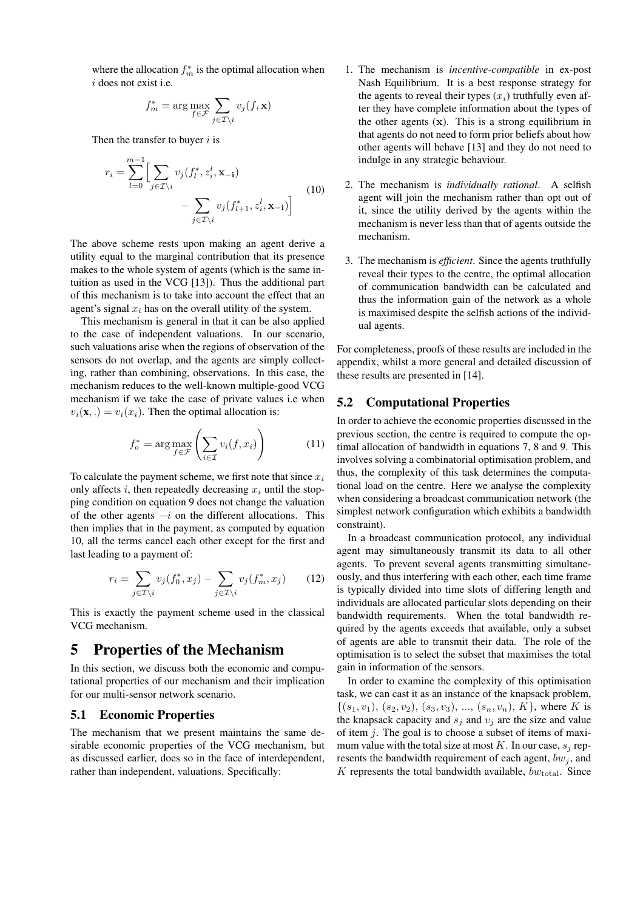where the allocation  $f_m^*$  is the optimal allocation when i does not exist i.e.

$$
f_m^* = \arg\max_{f \in \mathcal{F}} \sum_{j \in \mathcal{I} \setminus i} v_j(f, \mathbf{x})
$$

Then the transfer to buyer  $i$  is

$$
r_i = \sum_{l=0}^{m-1} \Big[ \sum_{j \in \mathcal{I} \setminus i} v_j(f_l^*, z_i^l, \mathbf{x}_{-i}) - \sum_{j \in \mathcal{I} \setminus i} v_j(f_{l+1}^*, z_i^l, \mathbf{x}_{-i}) \Big]
$$
(10)

The above scheme rests upon making an agent derive a utility equal to the marginal contribution that its presence makes to the whole system of agents (which is the same intuition as used in the VCG [13]). Thus the additional part of this mechanism is to take into account the effect that an agent's signal  $x_i$  has on the overall utility of the system.

This mechanism is general in that it can be also applied to the case of independent valuations. In our scenario, such valuations arise when the regions of observation of the sensors do not overlap, and the agents are simply collecting, rather than combining, observations. In this case, the mechanism reduces to the well-known multiple-good VCG mechanism if we take the case of private values i.e when  $v_i(\mathbf{x},.) = v_i(x_i)$ . Then the optimal allocation is:

$$
f_o^* = \arg \max_{f \in \mathcal{F}} \left( \sum_{i \in \mathcal{I}} v_i(f, x_i) \right) \tag{11}
$$

To calculate the payment scheme, we first note that since  $x_i$ only affects i, then repeatedly decreasing  $x_i$  until the stopping condition on equation 9 does not change the valuation of the other agents  $-i$  on the different allocations. This then implies that in the payment, as computed by equation 10, all the terms cancel each other except for the first and last leading to a payment of:

$$
r_i = \sum_{j \in \mathcal{I} \setminus i} v_j(f_0^*, x_j) - \sum_{j \in \mathcal{I} \setminus i} v_j(f_m^*, x_j) \qquad (12)
$$

This is exactly the payment scheme used in the classical VCG mechanism.

## **5 Properties of the Mechanism**

In this section, we discuss both the economic and computational properties of our mechanism and their implication for our multi-sensor network scenario.

#### **5.1 Economic Properties**

The mechanism that we present maintains the same desirable economic properties of the VCG mechanism, but as discussed earlier, does so in the face of interdependent, rather than independent, valuations. Specifically:

- 1. The mechanism is *incentive-compatible* in ex-post Nash Equilibrium. It is a best response strategy for the agents to reveal their types  $(x_i)$  truthfully even after they have complete information about the types of the other agents  $(x)$ . This is a strong equilibrium in that agents do not need to form prior beliefs about how other agents will behave [13] and they do not need to indulge in any strategic behaviour.
- 2. The mechanism is *individually rational*. A selfish agent will join the mechanism rather than opt out of it, since the utility derived by the agents within the mechanism is never less than that of agents outside the mechanism.
- 3. The mechanism is *efficient*. Since the agents truthfully reveal their types to the centre, the optimal allocation of communication bandwidth can be calculated and thus the information gain of the network as a whole is maximised despite the selfish actions of the individual agents.

For completeness, proofs of these results are included in the appendix, whilst a more general and detailed discussion of these results are presented in [14].

#### **5.2 Computational Properties**

In order to achieve the economic properties discussed in the previous section, the centre is required to compute the optimal allocation of bandwidth in equations 7, 8 and 9. This involves solving a combinatorial optimisation problem, and thus, the complexity of this task determines the computational load on the centre. Here we analyse the complexity when considering a broadcast communication network (the simplest network configuration which exhibits a bandwidth constraint).

In a broadcast communication protocol, any individual agent may simultaneously transmit its data to all other agents. To prevent several agents transmitting simultaneously, and thus interfering with each other, each time frame is typically divided into time slots of differing length and individuals are allocated particular slots depending on their bandwidth requirements. When the total bandwidth required by the agents exceeds that available, only a subset of agents are able to transmit their data. The role of the optimisation is to select the subset that maximises the total gain in information of the sensors.

In order to examine the complexity of this optimisation task, we can cast it as an instance of the knapsack problem,  $\{(s_1, v_1), (s_2, v_2), (s_3, v_3), ..., (s_n, v_n), K\}$ , where K is the knapsack capacity and  $s_i$  and  $v_j$  are the size and value of item  $i$ . The goal is to choose a subset of items of maximum value with the total size at most K. In our case,  $s_i$  represents the bandwidth requirement of each agent,  $bw_j$ , and  $K$  represents the total bandwidth available,  $bw_{\text{total}}$ . Since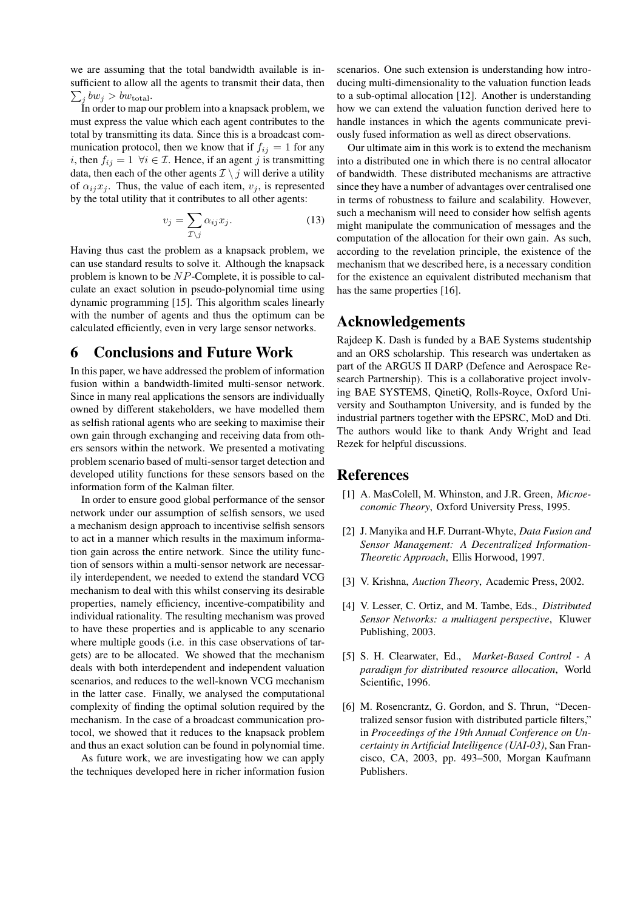we are assuming that the total bandwidth available is insufficient to allow all the agents to transmit their data, then  $\sum_j bw_j > bw_{\text{total}}.$ 

In order to map our problem into a knapsack problem, we must express the value which each agent contributes to the total by transmitting its data. Since this is a broadcast communication protocol, then we know that if  $f_{ij} = 1$  for any i, then  $f_{ij} = 1 \ \forall i \in \mathcal{I}$ . Hence, if an agent j is transmitting data, then each of the other agents  $\mathcal{I} \setminus j$  will derive a utility of  $\alpha_{ij}x_j$ . Thus, the value of each item,  $v_j$ , is represented by the total utility that it contributes to all other agents:

$$
v_j = \sum_{\mathcal{I}\backslash j} \alpha_{ij} x_j.
$$
 (13)

Having thus cast the problem as a knapsack problem, we can use standard results to solve it. Although the knapsack problem is known to be NP-Complete, it is possible to calculate an exact solution in pseudo-polynomial time using dynamic programming [15]. This algorithm scales linearly with the number of agents and thus the optimum can be calculated efficiently, even in very large sensor networks.

## **6 Conclusions and Future Work**

In this paper, we have addressed the problem of information fusion within a bandwidth-limited multi-sensor network. Since in many real applications the sensors are individually owned by different stakeholders, we have modelled them as selfish rational agents who are seeking to maximise their own gain through exchanging and receiving data from others sensors within the network. We presented a motivating problem scenario based of multi-sensor target detection and developed utility functions for these sensors based on the information form of the Kalman filter.

In order to ensure good global performance of the sensor network under our assumption of selfish sensors, we used a mechanism design approach to incentivise selfish sensors to act in a manner which results in the maximum information gain across the entire network. Since the utility function of sensors within a multi-sensor network are necessarily interdependent, we needed to extend the standard VCG mechanism to deal with this whilst conserving its desirable properties, namely efficiency, incentive-compatibility and individual rationality. The resulting mechanism was proved to have these properties and is applicable to any scenario where multiple goods (i.e. in this case observations of targets) are to be allocated. We showed that the mechanism deals with both interdependent and independent valuation scenarios, and reduces to the well-known VCG mechanism in the latter case. Finally, we analysed the computational complexity of finding the optimal solution required by the mechanism. In the case of a broadcast communication protocol, we showed that it reduces to the knapsack problem and thus an exact solution can be found in polynomial time.

As future work, we are investigating how we can apply the techniques developed here in richer information fusion scenarios. One such extension is understanding how introducing multi-dimensionality to the valuation function leads to a sub-optimal allocation [12]. Another is understanding how we can extend the valuation function derived here to handle instances in which the agents communicate previously fused information as well as direct observations.

Our ultimate aim in this work is to extend the mechanism into a distributed one in which there is no central allocator of bandwidth. These distributed mechanisms are attractive since they have a number of advantages over centralised one in terms of robustness to failure and scalability. However, such a mechanism will need to consider how selfish agents might manipulate the communication of messages and the computation of the allocation for their own gain. As such, according to the revelation principle, the existence of the mechanism that we described here, is a necessary condition for the existence an equivalent distributed mechanism that has the same properties [16].

## **Acknowledgements**

Rajdeep K. Dash is funded by a BAE Systems studentship and an ORS scholarship. This research was undertaken as part of the ARGUS II DARP (Defence and Aerospace Research Partnership). This is a collaborative project involving BAE SYSTEMS, QinetiQ, Rolls-Royce, Oxford University and Southampton University, and is funded by the industrial partners together with the EPSRC, MoD and Dti. The authors would like to thank Andy Wright and Iead Rezek for helpful discussions.

## **References**

- [1] A. MasColell, M. Whinston, and J.R. Green, *Microeconomic Theory*, Oxford University Press, 1995.
- [2] J. Manyika and H.F. Durrant-Whyte, *Data Fusion and Sensor Management: A Decentralized Information-Theoretic Approach*, Ellis Horwood, 1997.
- [3] V. Krishna, *Auction Theory*, Academic Press, 2002.
- [4] V. Lesser, C. Ortiz, and M. Tambe, Eds., *Distributed Sensor Networks: a multiagent perspective*, Kluwer Publishing, 2003.
- [5] S. H. Clearwater, Ed., *Market-Based Control A paradigm for distributed resource allocation*, World Scientific, 1996.
- [6] M. Rosencrantz, G. Gordon, and S. Thrun, "Decentralized sensor fusion with distributed particle filters," in *Proceedings of the 19th Annual Conference on Uncertainty in Artificial Intelligence (UAI-03)*, San Francisco, CA, 2003, pp. 493–500, Morgan Kaufmann Publishers.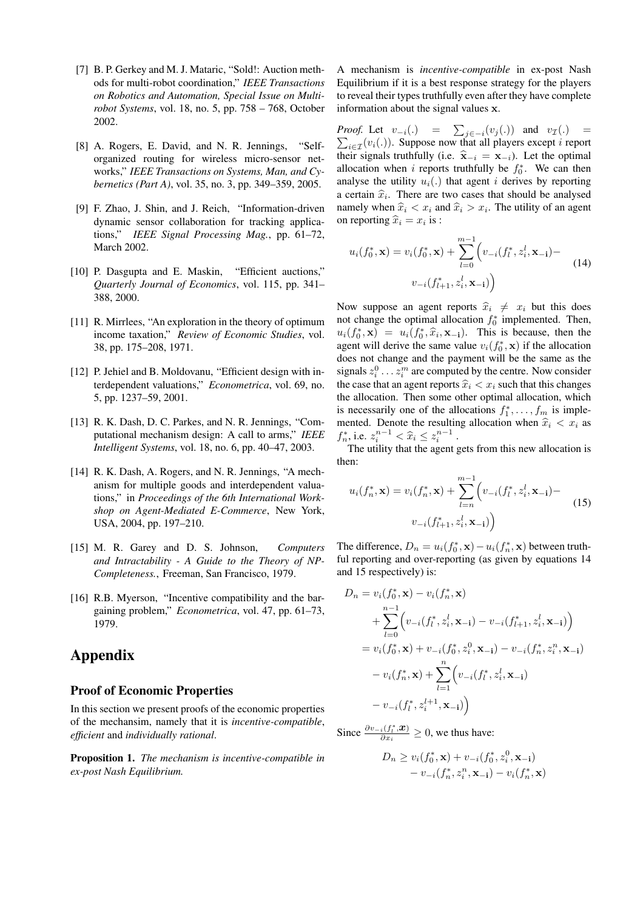- [7] B. P. Gerkey and M. J. Mataric, "Sold!: Auction methods for multi-robot coordination," *IEEE Transactions on Robotics and Automation, Special Issue on Multirobot Systems*, vol. 18, no. 5, pp. 758 – 768, October 2002.
- [8] A. Rogers, E. David, and N. R. Jennings, "Selforganized routing for wireless micro-sensor networks," *IEEE Transactions on Systems, Man, and Cybernetics (Part A)*, vol. 35, no. 3, pp. 349–359, 2005.
- [9] F. Zhao, J. Shin, and J. Reich, "Information-driven dynamic sensor collaboration for tracking applications," *IEEE Signal Processing Mag.*, pp. 61–72, March 2002.
- [10] P. Dasgupta and E. Maskin, "Efficient auctions," *Quarterly Journal of Economics*, vol. 115, pp. 341– 388, 2000.
- [11] R. Mirrlees, "An exploration in the theory of optimum income taxation," *Review of Economic Studies*, vol. 38, pp. 175–208, 1971.
- [12] P. Jehiel and B. Moldovanu, "Efficient design with interdependent valuations," *Econometrica*, vol. 69, no. 5, pp. 1237–59, 2001.
- [13] R. K. Dash, D. C. Parkes, and N. R. Jennings, "Computational mechanism design: A call to arms," *IEEE Intelligent Systems*, vol. 18, no. 6, pp. 40–47, 2003.
- [14] R. K. Dash, A. Rogers, and N. R. Jennings, "A mechanism for multiple goods and interdependent valuations," in *Proceedings of the 6th International Workshop on Agent-Mediated E-Commerce*, New York, USA, 2004, pp. 197–210.
- [15] M. R. Garey and D. S. Johnson, *Computers and Intractability - A Guide to the Theory of NP-Completeness.*, Freeman, San Francisco, 1979.
- [16] R.B. Myerson, "Incentive compatibility and the bargaining problem," *Econometrica*, vol. 47, pp. 61–73, 1979.

## **Appendix**

#### **Proof of Economic Properties**

In this section we present proofs of the economic properties of the mechansim, namely that it is *incentive-compatible*, *efficient* and *individually rational*.

**Proposition 1.** *The mechanism is incentive-compatible in ex-post Nash Equilibrium.*

A mechanism is *incentive-compatible* in ex-post Nash Equilibrium if it is a best response strategy for the players to reveal their types truthfully even after they have complete information about the signal values **x**.

*Proof.* Let  $v_{-i}$ (.) =  $\sum_{j \in -i} (v_j(.))$  and  $v_{\mathcal{I}}(.)$  =  $\sum_{j \in -i} (v_i(.))$ . Suppose now that all players except *i* report  $i \in \mathcal{I}(v_i(.))$ . Suppose now that all players except i report is example truthfully  $(i \in \hat{\mathbf{x}}_i \in \mathbf{x}_i)$ . Let the optimal their signals truthfully (i.e.  $\hat{\mathbf{x}}_{-i} = \mathbf{x}_{-i}$ ). Let the optimal allocation when *i* reports truthfully be  $f_0^*$ . We can then analyse the utility  $u_i(.)$  that agent i derives by reporting a certain  $\hat{x}_i$ . There are two cases that should be analysed namely when  $\hat{x}_i < x_i$  and  $\hat{x}_i > x_i$ . The utility of an agent on reporting  $\hat{x}_i = x_i$  is :

$$
u_i(f_0^*, \mathbf{x}) = v_i(f_0^*, \mathbf{x}) + \sum_{l=0}^{m-1} \left( v_{-i}(f_l^*, z_i^l, \mathbf{x}_{-i}) - v_{-i}(f_{l+1}^*, z_i^l, \mathbf{x}_{-i}) \right)
$$
\n(14)

Now suppose an agent reports  $\hat{x}_i \neq x_i$  but this does not change the optimal allocation  $f_0^*$  implemented. Then,  $u_i(f_0^*, \mathbf{x}) = u_i(f_0^*, \hat{x}_i, \mathbf{x}_{-i}).$  This is because, then the property will derive the same value  $u_i(f^*, \mathbf{x})$  if the allocation agent will derive the same value  $v_i(f_0^*, \mathbf{x})$  if the allocation<br>does not change and the payment will be the same as the does not change and the payment will be the same as the signals  $z_i^0 \dots z_i^m$  are computed by the centre. Now consider the case that an agent reports  $\hat{x}_i < x_i$  such that this changes the allocation. Then some other optimal allocation, which is necessarily one of the allocations  $f_1^*, \ldots, f_m$  is implemented. Denote the resulting allocation when  $\hat{x}_i < x_i$  as  $f_n^*$ , i.e.  $z_i^{n-1} < \widehat{x}_i \leq z_i^{n-1}$ .<br>The will in that the country

The utility that the agent gets from this new allocation is then:

$$
u_i(f_n^*, \mathbf{x}) = v_i(f_n^*, \mathbf{x}) + \sum_{l=n}^{m-1} \left( v_{-i}(f_l^*, z_i^l, \mathbf{x}_{-i}) - v_{-i}(f_{l+1}^*, z_i^l, \mathbf{x}_{-i}) \right)
$$
(15)

The difference,  $D_n = u_i(f_0^*, \mathbf{x}) - u_i(f_n^*, \mathbf{x})$  between truth-<br>ful reporting and over-reporting (as given by equations 14 ful reporting and over-reporting (as given by equations 14 and 15 respectively) is:

$$
D_n = v_i(f_0^*, \mathbf{x}) - v_i(f_n^*, \mathbf{x})
$$
  
+ 
$$
\sum_{l=0}^{n-1} \left( v_{-i}(f_l^*, z_i^l, \mathbf{x}_{-i}) - v_{-i}(f_{l+1}^*, z_i^l, \mathbf{x}_{-i}) \right)
$$
  
= 
$$
v_i(f_0^*, \mathbf{x}) + v_{-i}(f_0^*, z_i^0, \mathbf{x}_{-i}) - v_{-i}(f_n^*, z_i^n, \mathbf{x}_{-i})
$$
  
- 
$$
v_i(f_n^*, \mathbf{x}) + \sum_{l=1}^n \left( v_{-i}(f_l^*, z_i^l, \mathbf{x}_{-i}) \right)
$$
  
- 
$$
v_{-i}(f_l^*, z_i^{l+1}, \mathbf{x}_{-i})
$$

Since  $\frac{\partial v_{-i}(f_l^*, \boldsymbol{x})}{\partial x_i} \geq 0$ , we thus have:

$$
D_n \ge v_i(f_0^*, \mathbf{x}) + v_{-i}(f_0^*, z_i^0, \mathbf{x}_{-i})
$$
  
-  $v_{-i}(f_n^*, z_i^n, \mathbf{x}_{-i}) - v_i(f_n^*, \mathbf{x})$